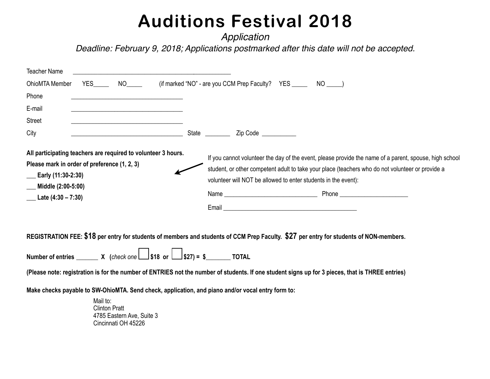*Application* 

*Deadline: February 9, 2018; Applications postmarked after this date will not be accepted.*

| <b>Teacher Name</b>                                                                                                                                                                             |            |                 |                                                                                                                                                                                                                                                                                                                                                                                                                                                                                                                                                                                                                                                                                                                                                        |                |                                                                   |     |  |
|-------------------------------------------------------------------------------------------------------------------------------------------------------------------------------------------------|------------|-----------------|--------------------------------------------------------------------------------------------------------------------------------------------------------------------------------------------------------------------------------------------------------------------------------------------------------------------------------------------------------------------------------------------------------------------------------------------------------------------------------------------------------------------------------------------------------------------------------------------------------------------------------------------------------------------------------------------------------------------------------------------------------|----------------|-------------------------------------------------------------------|-----|--|
| OhioMTA Member                                                                                                                                                                                  | <b>YES</b> | NO <sub>2</sub> |                                                                                                                                                                                                                                                                                                                                                                                                                                                                                                                                                                                                                                                                                                                                                        |                | (if marked "NO" - are you CCM Prep Faculty? YES _______ NO _____) |     |  |
| Phone                                                                                                                                                                                           |            |                 |                                                                                                                                                                                                                                                                                                                                                                                                                                                                                                                                                                                                                                                                                                                                                        |                |                                                                   |     |  |
| E-mail                                                                                                                                                                                          |            |                 |                                                                                                                                                                                                                                                                                                                                                                                                                                                                                                                                                                                                                                                                                                                                                        |                |                                                                   |     |  |
| <b>Street</b>                                                                                                                                                                                   |            |                 |                                                                                                                                                                                                                                                                                                                                                                                                                                                                                                                                                                                                                                                                                                                                                        |                |                                                                   |     |  |
| City                                                                                                                                                                                            |            |                 |                                                                                                                                                                                                                                                                                                                                                                                                                                                                                                                                                                                                                                                                                                                                                        | State ________ | Zip Code __________                                               |     |  |
| All participating teachers are required to volunteer 3 hours.<br>Please mark in order of preference (1, 2, 3)<br>$\frac{1}{2}$ Early (11:30-2:30)<br>Middle (2:00-5:00)<br>Late $(4:30 - 7:30)$ |            |                 | If you cannot volunteer the day of the event, please provide the name of a parent, spouse, high school<br>student, or other competent adult to take your place (teachers who do not volunteer or provide a<br>volunteer will NOT be allowed to enter students in the event):<br>Name and the contract of the contract of the contract of the contract of the contract of the contract of the contract of the contract of the contract of the contract of the contract of the contract of the contract of the c<br>Email <b>Executive Contract Contract Contract Contract Contract Contract Contract Contract Contract Contract Contract Contract Contract Contract Contract Contract Contract Contract Contract Contract Contract Contract Contrac</b> |                |                                                                   |     |  |
|                                                                                                                                                                                                 | <b></b>    |                 |                                                                                                                                                                                                                                                                                                                                                                                                                                                                                                                                                                                                                                                                                                                                                        |                |                                                                   | ^^¬ |  |

**REGISTRATION FEE: \$18 per entry for students of members and students of CCM Prep Faculty. \$27 per entry for students of NON-members.** 

**Number of entries \_\_\_\_\_\_\_ X (***check one* **\$18 or \$27) = \$\_\_\_\_\_\_\_\_ TOTAL**

**(Please note: registration is for the number of ENTRIES not the number of students. If one student signs up for 3 pieces, that is THREE entries)**

**Make checks payable to SW-OhioMTA. Send check, application, and piano and/or vocal entry form to:** 

Mail to: Clinton Pratt 4785 Eastern Ave, Suite 3 Cincinnati OH 45226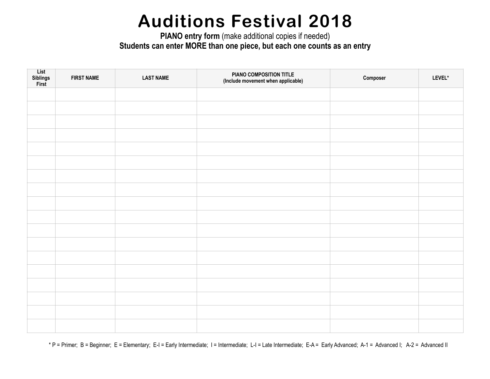**PIANO entry form** (make additional copies if needed) **Students can enter MORE than one piece, but each one counts as an entry** 

| List<br>Siblings<br>First | <b>FIRST NAME</b> | <b>LAST NAME</b> | PIANO COMPOSITION TITLE<br>(Include movement when applicable) | Composer | LEVEL* |
|---------------------------|-------------------|------------------|---------------------------------------------------------------|----------|--------|
|                           |                   |                  |                                                               |          |        |
|                           |                   |                  |                                                               |          |        |
|                           |                   |                  |                                                               |          |        |
|                           |                   |                  |                                                               |          |        |
|                           |                   |                  |                                                               |          |        |
|                           |                   |                  |                                                               |          |        |
|                           |                   |                  |                                                               |          |        |
|                           |                   |                  |                                                               |          |        |
|                           |                   |                  |                                                               |          |        |
|                           |                   |                  |                                                               |          |        |
|                           |                   |                  |                                                               |          |        |
|                           |                   |                  |                                                               |          |        |
|                           |                   |                  |                                                               |          |        |
|                           |                   |                  |                                                               |          |        |
|                           |                   |                  |                                                               |          |        |
|                           |                   |                  |                                                               |          |        |
|                           |                   |                  |                                                               |          |        |
|                           |                   |                  |                                                               |          |        |

\* P = Primer; B = Beginner; E = Elementary; E-I = Early Intermediate; I = Intermediate; L-I = Late Intermediate; E-A = Early Advanced; A-1 = Advanced I; A-2 = Advanced II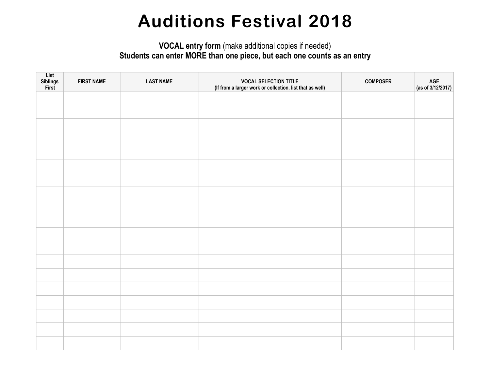#### **VOCAL entry form** (make additional copies if needed) **Students can enter MORE than one piece, but each one counts as an entry**

| List<br>Siblings<br>First | <b>FIRST NAME</b> | <b>LAST NAME</b> | <b>VOCAL SELECTION TITLE</b><br>(If from a larger work or collection, list that as well) | <b>COMPOSER</b> | AGE<br>(as of 3/12/2017) |
|---------------------------|-------------------|------------------|------------------------------------------------------------------------------------------|-----------------|--------------------------|
|                           |                   |                  |                                                                                          |                 |                          |
|                           |                   |                  |                                                                                          |                 |                          |
|                           |                   |                  |                                                                                          |                 |                          |
|                           |                   |                  |                                                                                          |                 |                          |
|                           |                   |                  |                                                                                          |                 |                          |
|                           |                   |                  |                                                                                          |                 |                          |
|                           |                   |                  |                                                                                          |                 |                          |
|                           |                   |                  |                                                                                          |                 |                          |
|                           |                   |                  |                                                                                          |                 |                          |
|                           |                   |                  |                                                                                          |                 |                          |
|                           |                   |                  |                                                                                          |                 |                          |
|                           |                   |                  |                                                                                          |                 |                          |
|                           |                   |                  |                                                                                          |                 |                          |
|                           |                   |                  |                                                                                          |                 |                          |
|                           |                   |                  |                                                                                          |                 |                          |
|                           |                   |                  |                                                                                          |                 |                          |
|                           |                   |                  |                                                                                          |                 |                          |
|                           |                   |                  |                                                                                          |                 |                          |
|                           |                   |                  |                                                                                          |                 |                          |